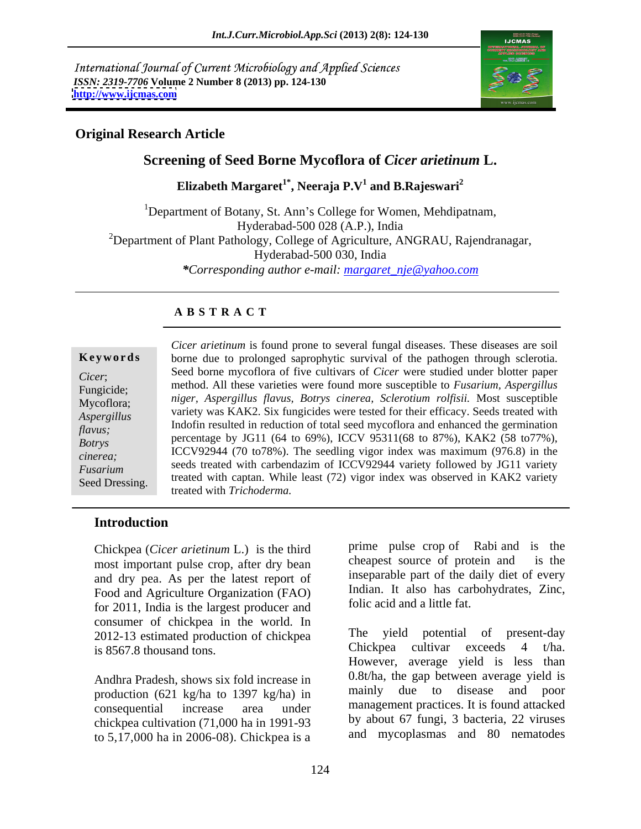International Journal of Current Microbiology and Applied Sciences *ISSN: 2319-7706* **Volume 2 Number 8 (2013) pp. 124-130 <http://www.ijcmas.com>**



### **Original Research Article**

# **Screening of Seed Borne Mycoflora of** *Cicer arietinum* **L.**

 ${\bf Elizabeth~Margaret}^{1*},$   ${\bf Neeraja~P.V^1~and~B.Rajeswari^2}$  **and B.Rajeswari<sup>2</sup>**

<sup>1</sup>Department of Botany, St. Ann's College for Women, Mehdipatnam, Hyderabad-500 028 (A.P.), India <sup>2</sup>Department of Plant Pathology, College of Agriculture, ANGRAU, Rajendranagar, Hyderabad-500 030, India *\*Corresponding author e-mail: margaret\_nje@yahoo.com*

### **A B S T R A C T**

**Keywords** borne due to prolonged saprophytic survival of the pathogen through sclerotia. *Cicer*; Seed borne mycoflora of five cultivars of *Cicer* were studied under blotter paper Fungicide; method. All these varieties were found more susceptible to *Fusarium, Aspergillus* Mycoflora; *niger, Aspergillus flavus, Botrys cinerea, Sclerotium rolfisii.* Most susceptible *Aspergillus*  variety was KAK2. Six fungicides were tested for their efficacy. Seeds treated with *flavus;*<br>
percentage by JG11 (64 to 69%), ICCV 95311(68 to 87%), KAK2 (58 to77%),<br>
percentage by JG11 (64 to 69%), ICCV 95311(68 to 87%), KAK2 (58 to77%), *Botrys* Percentage by JOTT (04 to 09%), ICC v 93311(06 to 67%), NANZ (36 to 17%), *cinerea;* ICCV92944 (70 to78%). The seedling vigor index was maximum (976.8) in the *Fusarium*seeds treated with carbendazim of ICCV92944 variety followed by JG11 variety
<sub>seeds</sub> treated with carbendazim of ICCV92944 variety
<sub>1</sub> Seed Dressing. treated with captan. While least (72) vigor index was observed in KAK2 variety *Cicer arietinum* is found prone to several fungal diseases. These diseases are soil Indofin resulted in reduction of total seed mycoflora and enhanced the germination treated with *Trichoderma.*

# **Introduction**

Chickpea (*Cicer arietinum* L.) is the third prime pulse crop of Rabi and is the most important pulse crop of critical cheapest source of protein and is the most important pulse crop, after dry bean and dry pea. As per the latest report of Food and Agriculture Organization (FAO) for 2011, India is the largest producer and consumer of chickpea in the world. In 2012-13 estimated production of chickpea<br>is 8567.8 thousand tons<br>Chickpea cultivar exceeds 4 t/ha. is 8567.8 thousand tons.

Andhra Pradesh, shows six fold increase in  $0.8t/ha$ , the gap between average yield is production (621 kg/ha to 1397 kg/ha) in mainly due to disease and poor production (621 kg/ha to 1397 kg/ha) in chickpea cultivation (71,000 ha in 1991-93 to 5,17,000 ha in 2006-08). Chickpea is a

prime pulse crop of Rabi and is the cheapest source of protein and inseparable part of the daily diet of every Indian. It also has carbohydrates, Zinc, folic acid and a little fat.

consequential increase area under management practices. It is found attacked The yield potential of present-day Chickpea cultivar exceeds 4 t/ha. However, average yield is less than 0.8t/ha, the gap between average yield is mainly due to disease and poor by about 67 fungi, 3 bacteria, 22 viruses and mycoplasmas and 80 nematodes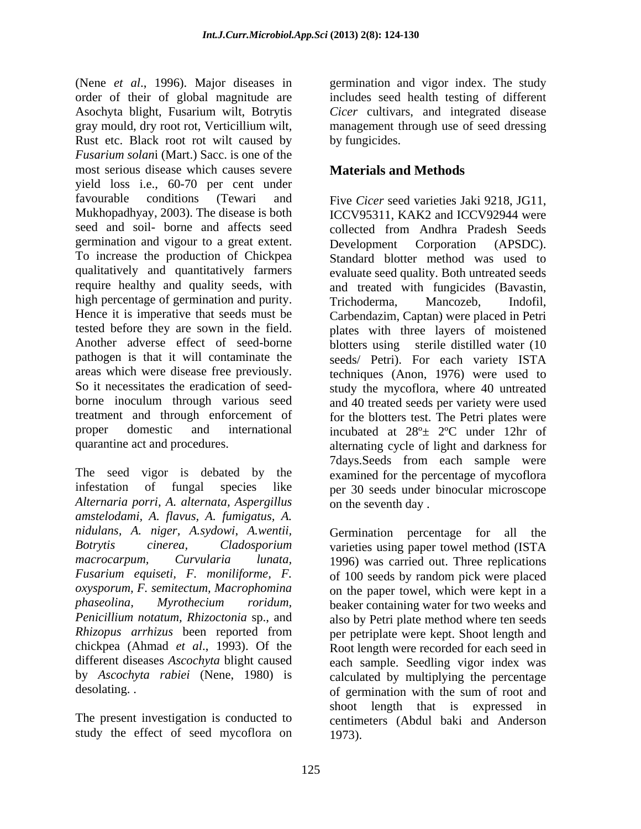(Nene *et al*., 1996). Major diseases in germination and vigor index. The study order of their of global magnitude are Asochyta blight, Fusarium wilt, Botrytis gray mould, dry root rot, Verticillium wilt, management through use of seed dressing Rust etc. Black root rot wilt caused by *Fusarium solan*i (Mart.) Sacc. is one of the most serious disease which causes severe yield loss i.e., 60-70 per cent under favourable conditions (Tewari and Five *Cicer* seed varieties Jaki 9218, JG11, Mukhopadhyay, 2003). The disease is both ICCV95311, KAK2 and ICCV92944 were seed and soil- borne and affects seed germination and vigour to a great extent. Development Corporation (APSDC). To increase the production of Chickpea Standard blotter method was used to qualitatively and quantitatively farmers evaluate seed quality. Both untreated seeds require healthy and quality seeds, with and treated with fungicides (Bavastin, high percentage of germination and purity. Trichoderma, Mancozeb, Indofil, Hence it is imperative that seeds must be Carbendazim, Captan) were placed in Petri tested before they are sown in the field. plates with three layers of moistened Another adverse effect of seed-borne blotters using sterile distilled water (10 pathogen is that it will contaminate the seeds/ Petri). For each variety ISTA areas which were disease free previously. techniques (Anon, 1976) were used to So it necessitates the eradication of seed- study the mycoflora, where 40 untreated borne inoculum through various seed and 40 treated seeds per variety were used treatment and through enforcement of for the blotters test. The Petri plates were proper domestic and international incubated at 28º± 2ºC under 12hr of

The seed vigor is debated by the infestation of fungal species like per 30 seeds under binocular microscope *Alternaria porri, A. alternata, Aspergillus amstelodami, A. flavus, A. fumigatus, A. nidulans, A. niger, A.sydowi*, *A.wentii, Botrytis cinerea, Cladosporium* varieties using paper towel method (ISTA *macrocarpum, Curvularia lunata,* 1996) was carried out. Three replications *Fusarium equiseti, F. moniliforme, F.* of 100 seeds by random pick were placed *oxysporum, F. semitectum, Macrophomina* on the paper towel, which were kept in a *phaseolina, Myrothecium roridum,* beaker containing water for two weeks and *Penicillium notatum, Rhizoctonia* sp., and also by Petri plate method where ten seeds *Rhizopus arrhizus* been reported from per petriplate were kept. Shoot length and chickpea (Ahmad *et al*., 1993). Of the Root length were recorded for each seed in different diseases *Ascochyta* blight caused each sample. Seedling vigor index was by *Ascochyta rabiei* (Nene, 1980) is calculated by multiplying the percentage

study the effect of seed mycoflora on

includes seed health testing of different *Cicer* cultivars, and integrated disease by fungicides.

## **Materials and Methods**

quarantine act and procedures. alternating cycle of light and darkness for collected from Andhra Pradesh Seeds Development Corporation (APSDC). Standard blotter method was used to Trichoderma, Mancozeb, Indofil, 7days.Seeds from each sample were examined for the percentage of mycoflora on the seventh day .

desolating. . The sum of germination with the sum of root and The present investigation is conducted to centimeters (Abdul baki and Anderson Germination percentage for all shoot length that is expressed in 1973).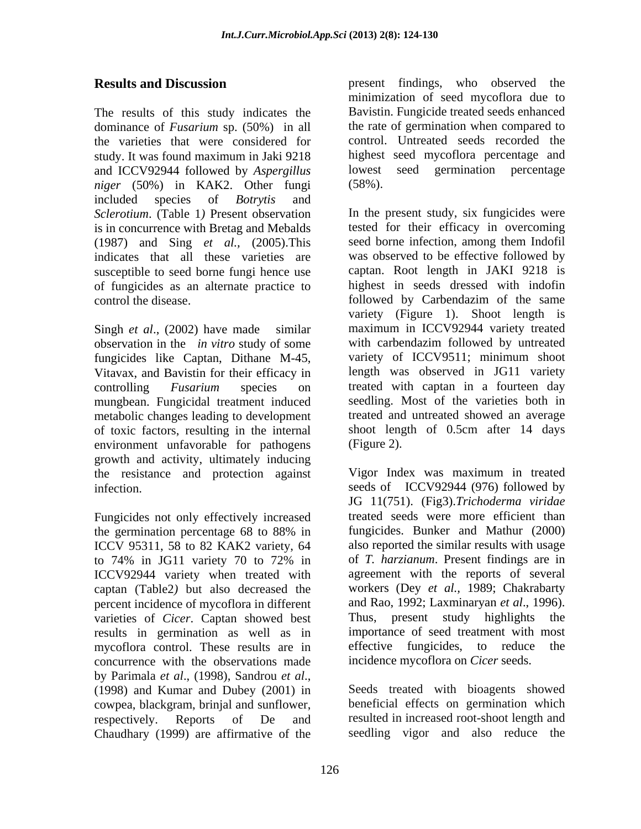The results of this study indicates the dominance of *Fusarium* sp. (50%) in all the varieties that were considered for study. It was found maximum in Jaki 9218 highest seed mycoflora percentage and and ICCV92944 followed by *Aspergillus* lowest seed germination percentage *niper* (50%) in KAK2. Other fungi (58%). *niger* (50%) in KAK2. Other fungi included species of *Botrytis* and *Sclerotium.* (Table 1) Present observation In the present study, six fungicides were is in concurrence with Bretag and Mebalds (1987) and Sing *et al.,* (2005).This indicates that all these varieties are susceptible to seed borne fungi hence use of fungicides as an alternate practice to

observation in the *in vitro* study of some fungicides like Captan, Dithane M-45, Vitavax, and Bavistin for their efficacy in mungbean. Fungicidal treatment induced metabolic changes leading to development of toxic factors, resulting in the internal shoot leng<br>environment unfavorable for pathogens (Figure 2). environment unfavorable for pathogens growth and activity, ultimately inducing<br>the resistance and protection against Vigor Index was maximum in treated the resistance and protection against

Fungicides not only effectively increased ICCV 95311, 58 to 82 KAK2 variety, 64 ICCV92944 variety when treated with captan (Table2*)* but also decreased the percent incidence of mycoflora in different varieties of *Cicer*. Captan showed best results in germination as well as in mycoflora control. These results are in effective fungicides, to reduce the concurrence with the observations made by Parimala *et al*., (1998), Sandrou *et al*., (1998) and Kumar and Dubey (2001) in cowpea, blackgram, brinjal and sunflower, respectively. Reports of De and resulted in increased root-shoot length and Chaudhary (1999) are affirmative of the

**Results and Discussion** present findings, who observed the minimization of seed mycoflora due to Bavistin. Fungicide treated seeds enhanced the rate of germination when compared to control. Untreated seeds recorded the lowest seed germination percentage

control the disease.<br>
Singh *et al.*, (2002) have made similar similar maximum in ICCV92944 variety treated controlling *Fusarium* species on treated with captan in a fourteen day (58%). In the present study, six fungicides were tested for their efficacy in overcoming seed borne infection, among them Indofil was observed to be effective followed by captan. Root length in JAKI 9218 is highest in seeds dressed with indofin followed by Carbendazim of the same variety (Figure 1). Shoot length is maximum in ICCV92944 variety treated with carbendazim followed by untreated variety of ICCV9511; minimum shoot length was observed in JG11 variety seedling. Most of the varieties both in treated and untreated showed an average shoot length of 0.5cm after 14 days (Figure 2).

infection. seeds of ICCV92944 (976) followed by the germination percentage 68 to 88% in to 74% in JG11 variety 70 to 72% in of T. harzianum. Present findings are in Vigor Index was maximum in treated JG 11(751). (Fig3).*Trichoderma viridae* treated seeds were more efficient than fungicides. Bunker and Mathur (2000) also reported the similar results with usage of *T. harzianum*. Present findings are in agreement with the reports of several workers (Dey *et al.,* 1989; Chakrabarty and Rao, 1992; Laxminaryan *et al*., 1996). Thus, present study highlights importance of seed treatment with most effective fungicides, to reduce incidence mycoflora on *Cicer* seeds.

> Seeds treated with bioagents showed beneficial effects on germination which seedling vigor and also reduce the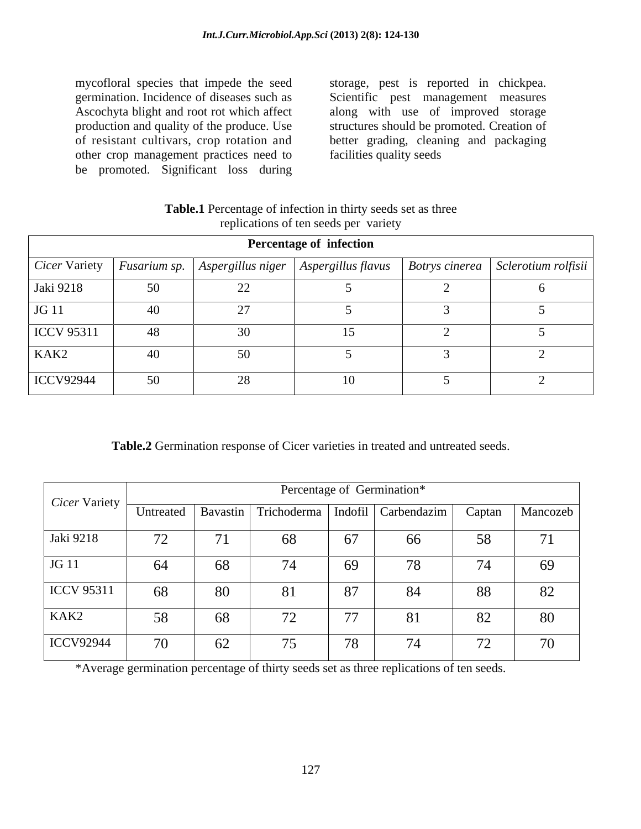mycofloral species that impede the seed storage, pest is reported in chickpea. germination. Incidence of diseases such as Scientific pest management measures Ascochyta blight and root rot which affect along with use of improved storage production and quality of the produce. Use structures should be promoted. Creation of of resistant cultivars, crop rotation and better grading, cleaning and packaging other crop management practices need to be promoted. Significant loss during

facilities quality seeds

| <b>Table.1</b> Percentage of infection in thirty seeds set as three |  |
|---------------------------------------------------------------------|--|
| eplications of ten seeds per variety                                |  |

|                                |    |    | <b>Percentage of infection</b> |                                                                                                              |
|--------------------------------|----|----|--------------------------------|--------------------------------------------------------------------------------------------------------------|
|                                |    |    |                                | Cicer Variety   Fusarium sp.   Aspergillus niger   Aspergillus flavus   Botrys cinerea   Sclerotium rolfisii |
| Jaki 9218                      | 50 | ∠∠ |                                |                                                                                                              |
| $\overline{\phantom{0}}$ JG 11 | 40 |    |                                |                                                                                                              |
| ICCV 95311                     | 48 | 30 |                                |                                                                                                              |
| KAK2                           | 40 | 50 |                                |                                                                                                              |
| ICCV92944                      | 50 | 28 | 10                             |                                                                                                              |

**Table.2** Germination response of Cicer varieties in treated and untreated seeds.

|                   |                              |    | Percentage of Germination*                                 |                     |    |                              |          |  |
|-------------------|------------------------------|----|------------------------------------------------------------|---------------------|----|------------------------------|----------|--|
| Cicer Variety     |                              |    | Untreated   Bavastin   Trichoderma   Indofil   Carbendazim |                     |    | Captan                       | Mancozeb |  |
| Jaki 9218         | $\overline{a}$<br>$\sqrt{2}$ | 71 | 68                                                         | 67                  | 66 | 58                           | 71       |  |
| JG 11             | 64                           | 68 | 74                                                         | 69                  | 78 | 74                           | 69       |  |
| <b>ICCV 95311</b> | 68                           | 80 | 81                                                         | 87                  | 84 | 88                           | 82       |  |
| KAK2              | 58                           | 68 | 72                                                         | 77<br>$\frac{1}{2}$ | 81 | $\Omega$                     | 80       |  |
| <b>ICCV92944</b>  | $70^{\circ}$                 | 62 | $\overline{a}$                                             | 78                  | 74 | $\overline{a}$<br>$\sqrt{2}$ | 70       |  |

\*Average germination percentage of thirty seeds set as three replications of ten seeds.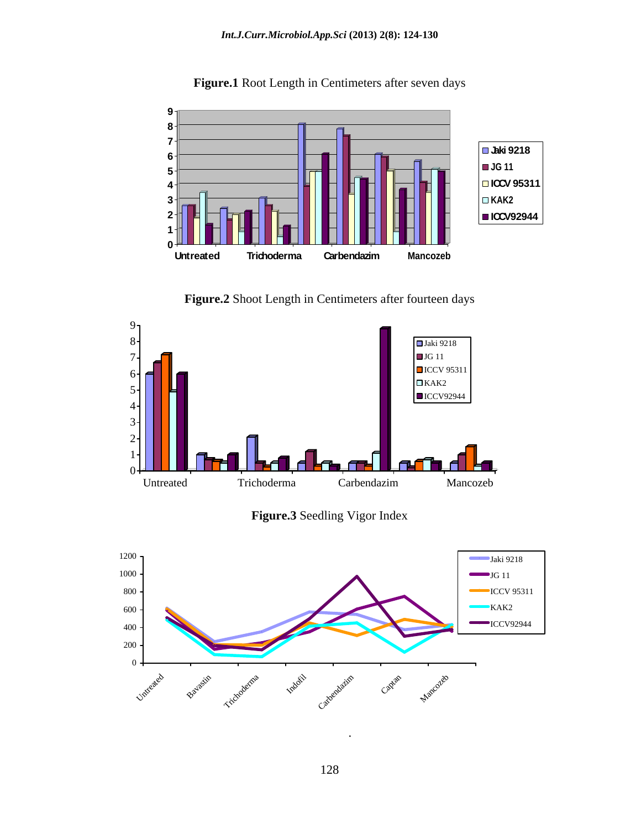

**Figure.1** Root Length in Centimeters after seven days

**Figure.2** Shoot Length in Centimeters after fourteen days



**Figure.3** Seedling Vigor Index



.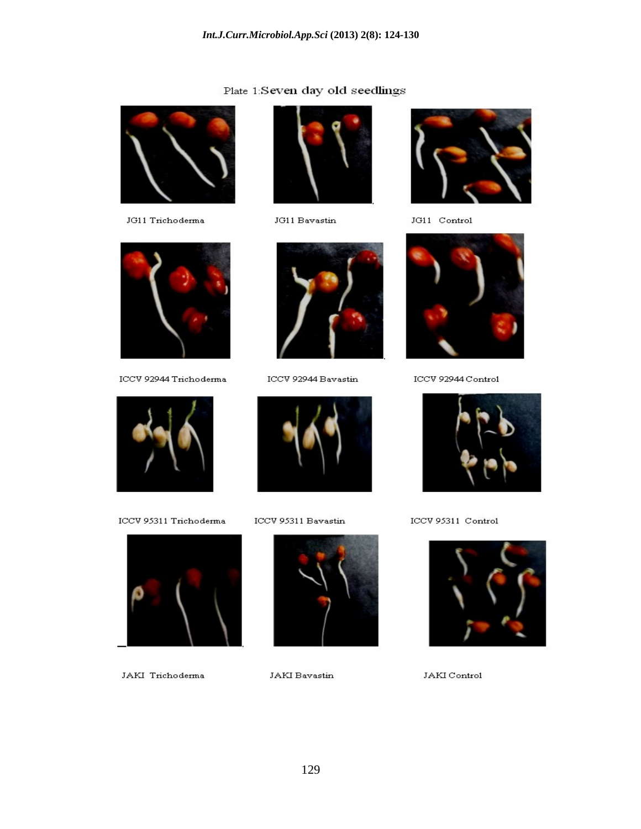### Plate 1:Seven day old seedlings



JG11 Trichoderma



 $_{\rm JG11~Bavastin}$ 



JG11 Control



ICCV 92944 Trichoderma



ICCV 95311 Trichoderma



JAKI Trichoderma



ICCV 92944 Bavastin



ICCV 95311 Bavastin



JAKI Bavastin



ICCV 92944 Control



ICCV 95311 Control



JAKI Control